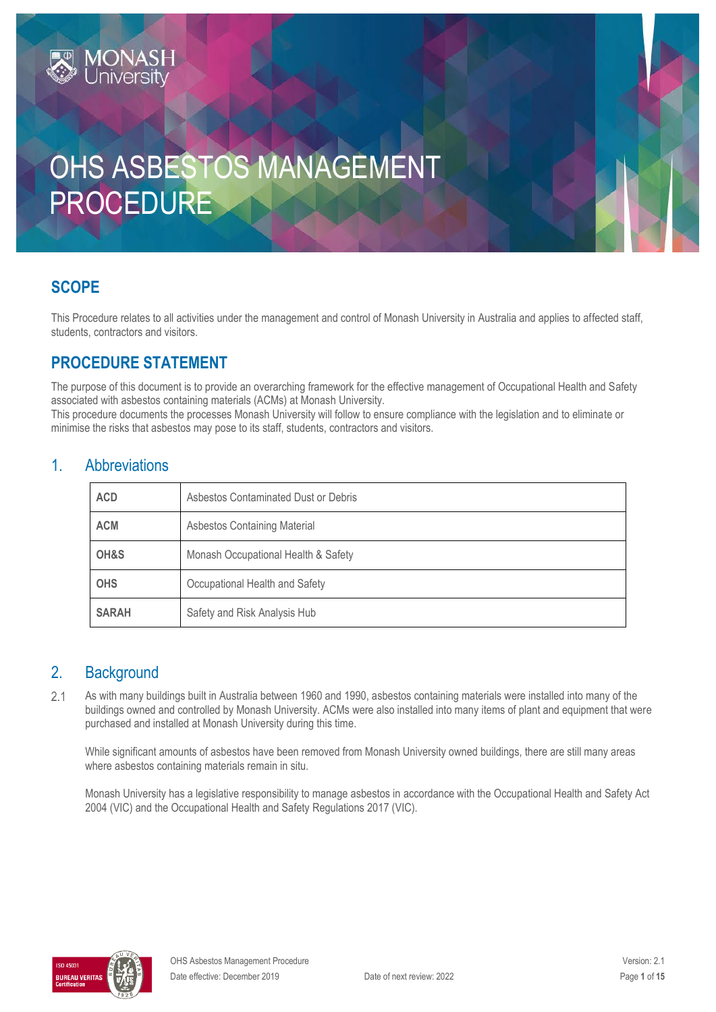# OHS ASBESTOS MANAGEMENT PROCEDURE

# **SCOPE**

This Procedure relates to all activities under the management and control of Monash University in Australia and applies to affected staff, students, contractors and visitors.

# **PROCEDURE STATEMENT**

**MONASH**<br>Jniversity

The purpose of this document is to provide an overarching framework for the effective management of Occupational Health and Safety associated with asbestos containing materials (ACMs) at Monash University.

This procedure documents the processes Monash University will follow to ensure compliance with the legislation and to eliminate or minimise the risks that asbestos may pose to its staff, students, contractors and visitors.

### 1. Abbreviations

| <b>ACD</b>   | Asbestos Contaminated Dust or Debris |  |
|--------------|--------------------------------------|--|
| <b>ACM</b>   | <b>Asbestos Containing Material</b>  |  |
| OH&S         | Monash Occupational Health & Safety  |  |
| <b>OHS</b>   | Occupational Health and Safety       |  |
| <b>SARAH</b> | Safety and Risk Analysis Hub         |  |

### 2. Background

 $2.1$ As with many buildings built in Australia between 1960 and 1990, asbestos containing materials were installed into many of the buildings owned and controlled by Monash University. ACMs were also installed into many items of plant and equipment that were purchased and installed at Monash University during this time.

While significant amounts of asbestos have been removed from Monash University owned buildings, there are still many areas where asbestos containing materials remain in situ.

Monash University has a legislative responsibility to manage asbestos in accordance with the Occupational Health and Safety Act 2004 (VIC) and the Occupational Health and Safety Regulations 2017 (VIC).

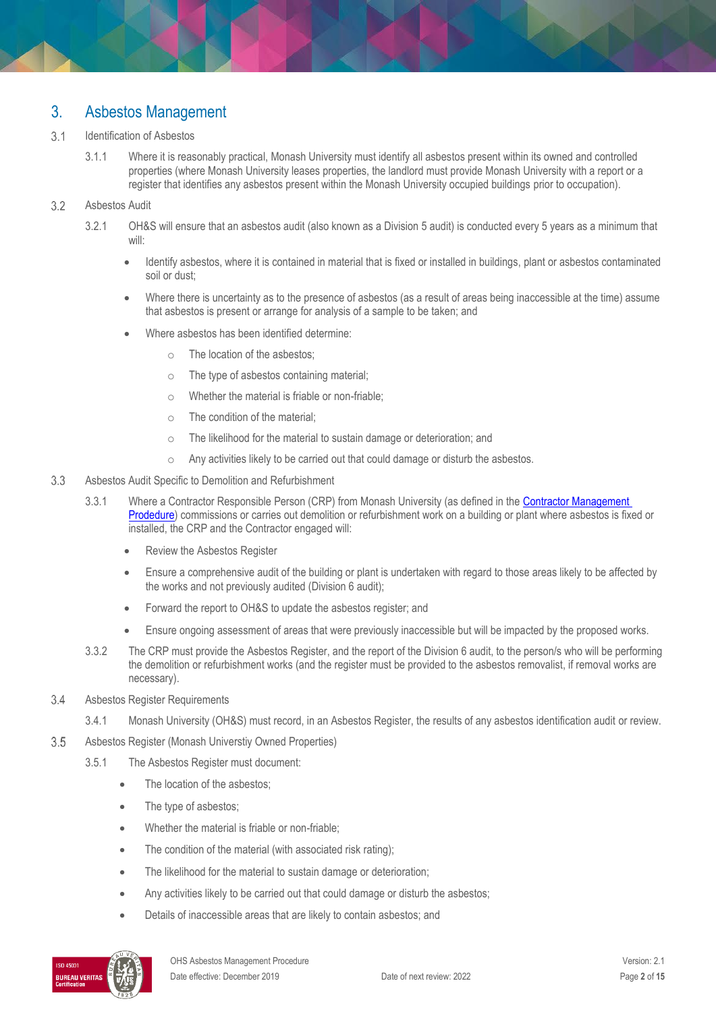### 3. Asbestos Management

#### $3.1$ Identification of Asbestos

3.1.1 Where it is reasonably practical, Monash University must identify all asbestos present within its owned and controlled properties (where Monash University leases properties, the landlord must provide Monash University with a report or a register that identifies any asbestos present within the Monash University occupied buildings prior to occupation).

#### $3.2$ Asbestos Audit

- 3.2.1 OH&S will ensure that an asbestos audit (also known as a Division 5 audit) is conducted every 5 years as a minimum that will:
	- Identify asbestos, where it is contained in material that is fixed or installed in buildings, plant or asbestos contaminated soil or dust;
	- Where there is uncertainty as to the presence of asbestos (as a result of areas being inaccessible at the time) assume that asbestos is present or arrange for analysis of a sample to be taken; and
	- Where asbestos has been identified determine:
		- o The location of the asbestos;
		- o The type of asbestos containing material;
		- o Whether the material is friable or non-friable;
		- o The condition of the material;
		- o The likelihood for the material to sustain damage or deterioration; and
		- o Any activities likely to be carried out that could damage or disturb the asbestos.

#### $3.3$ Asbestos Audit Specific to Demolition and Refurbishment

- 3.3.1 Where a Contractor Responsible Person (CRP) from Monash University (as defined in the Contractor Management [Prodedure\)](https://publicpolicydms.monash.edu/Monash/documents/1935599) commissions or carries out demolition or refurbishment work on a building or plant where asbestos is fixed or installed, the CRP and the Contractor engaged will:
	- Review the Asbestos Register
	- Ensure a comprehensive audit of the building or plant is undertaken with regard to those areas likely to be affected by the works and not previously audited (Division 6 audit);
	- Forward the report to OH&S to update the asbestos register; and
	- Ensure ongoing assessment of areas that were previously inaccessible but will be impacted by the proposed works.
- 3.3.2 The CRP must provide the Asbestos Register, and the report of the Division 6 audit, to the person/s who will be performing the demolition or refurbishment works (and the register must be provided to the asbestos removalist, if removal works are necessary).
- 3.4 Asbestos Register Requirements
	- 3.4.1 Monash University (OH&S) must record, in an Asbestos Register, the results of any asbestos identification audit or review.
- 3.5 Asbestos Register (Monash Universtiy Owned Properties)
	- 3.5.1 The Asbestos Register must document:
		- The location of the asbestos;
		- The type of asbestos;
		- Whether the material is friable or non-friable;
		- The condition of the material (with associated risk rating);
		- The likelihood for the material to sustain damage or deterioration;
		- Any activities likely to be carried out that could damage or disturb the asbestos;
		- Details of inaccessible areas that are likely to contain asbestos; and

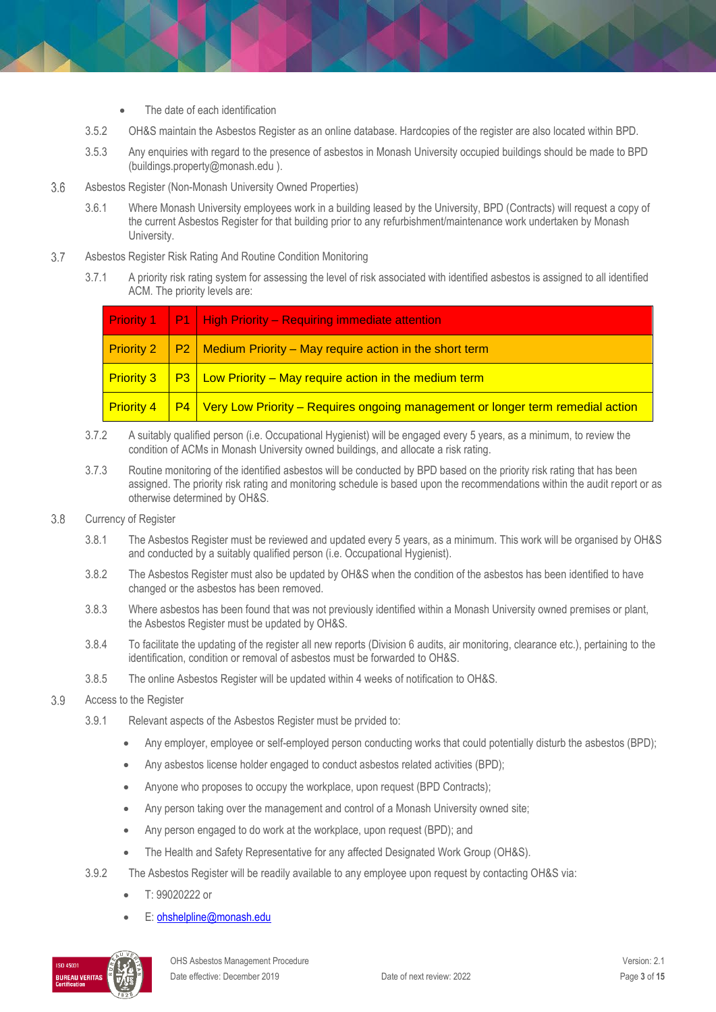- The date of each identification
- 3.5.2 OH&S maintain the Asbestos Register as an online database. Hardcopies of the register are also located within BPD.
- 3.5.3 Any enquiries with regard to the presence of asbestos in Monash University occupied buildings should be made to BPD (buildings.property@monash.edu ).
- $3.6$ Asbestos Register (Non-Monash University Owned Properties)
	- 3.6.1 Where Monash University employees work in a building leased by the University, BPD (Contracts) will request a copy of the current Asbestos Register for that building prior to any refurbishment/maintenance work undertaken by Monash University.
- 3.7 Asbestos Register Risk Rating And Routine Condition Monitoring
	- 3.7.1 A priority risk rating system for assessing the level of risk associated with identified asbestos is assigned to all identified ACM. The priority levels are:

|                   | <b>Priority 1</b>   $PI$   High Priority – Requiring immediate attention                   |  |
|-------------------|--------------------------------------------------------------------------------------------|--|
| <b>Priority 2</b> | $\vert$ P2   Medium Priority – May require action in the short term                        |  |
| <b>Priority 3</b> | $\sqrt{P_3}$ Low Priority – May require action in the medium term                          |  |
| <b>Priority 4</b> | <b>P4</b>   Very Low Priority – Requires ongoing management or longer term remedial action |  |

- 3.7.2 A suitably qualified person (i.e. Occupational Hygienist) will be engaged every 5 years, as a minimum, to review the condition of ACMs in Monash University owned buildings, and allocate a risk rating.
- 3.7.3 Routine monitoring of the identified asbestos will be conducted by BPD based on the priority risk rating that has been assigned. The priority risk rating and monitoring schedule is based upon the recommendations within the audit report or as otherwise determined by OH&S.
- 3.8 Currency of Register
	- 3.8.1 The Asbestos Register must be reviewed and updated every 5 years, as a minimum. This work will be organised by OH&S and conducted by a suitably qualified person (i.e. Occupational Hygienist).
	- 3.8.2 The Asbestos Register must also be updated by OH&S when the condition of the asbestos has been identified to have changed or the asbestos has been removed.
	- 3.8.3 Where asbestos has been found that was not previously identified within a Monash University owned premises or plant, the Asbestos Register must be updated by OH&S.
	- 3.8.4 To facilitate the updating of the register all new reports (Division 6 audits, air monitoring, clearance etc.), pertaining to the identification, condition or removal of asbestos must be forwarded to OH&S.
	- 3.8.5 The online Asbestos Register will be updated within 4 weeks of notification to OH&S.
- 3.9 Access to the Register
	- 3.9.1 Relevant aspects of the Asbestos Register must be prvided to:
		- Any employer, employee or self-employed person conducting works that could potentially disturb the asbestos (BPD);
		- Any asbestos license holder engaged to conduct asbestos related activities (BPD);
		- Anyone who proposes to occupy the workplace, upon request (BPD Contracts);
		- Any person taking over the management and control of a Monash University owned site;
		- Any person engaged to do work at the workplace, upon request (BPD); and
		- The Health and Safety Representative for any affected Designated Work Group (OH&S).
	- 3.9.2 The Asbestos Register will be readily available to any employee upon request by contacting OH&S via:
		- T: 99020222 or
		- E[: ohshelpline@monash.edu](mailto:ohshelpline@monash.edu)

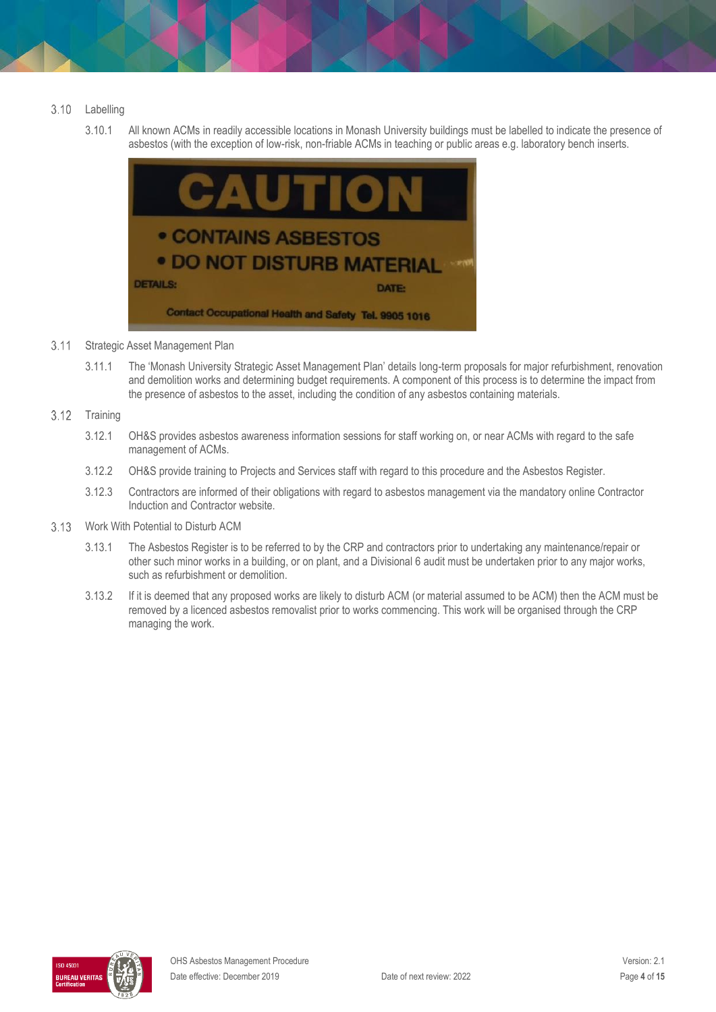#### $3.10$ Labelling

3.10.1 All known ACMs in readily accessible locations in Monash University buildings must be labelled to indicate the presence of asbestos (with the exception of low-risk, non-friable ACMs in teaching or public areas e.g. laboratory bench inserts.



- $3.11$ Strategic Asset Management Plan
	- 3.11.1 The 'Monash University Strategic Asset Management Plan' details long-term proposals for major refurbishment, renovation and demolition works and determining budget requirements. A component of this process is to determine the impact from the presence of asbestos to the asset, including the condition of any asbestos containing materials.
- $3.12$ **Training** 
	- 3.12.1 OH&S provides asbestos awareness information sessions for staff working on, or near ACMs with regard to the safe management of ACMs.
	- 3.12.2 OH&S provide training to Projects and Services staff with regard to this procedure and the Asbestos Register.
	- 3.12.3 Contractors are informed of their obligations with regard to asbestos management via the mandatory online Contractor Induction and Contractor website.
- Work With Potential to Disturb ACM
	- 3.13.1 The Asbestos Register is to be referred to by the CRP and contractors prior to undertaking any maintenance/repair or other such minor works in a building, or on plant, and a Divisional 6 audit must be undertaken prior to any major works, such as refurbishment or demolition.
	- 3.13.2 If it is deemed that any proposed works are likely to disturb ACM (or material assumed to be ACM) then the ACM must be removed by a licenced asbestos removalist prior to works commencing. This work will be organised through the CRP managing the work.

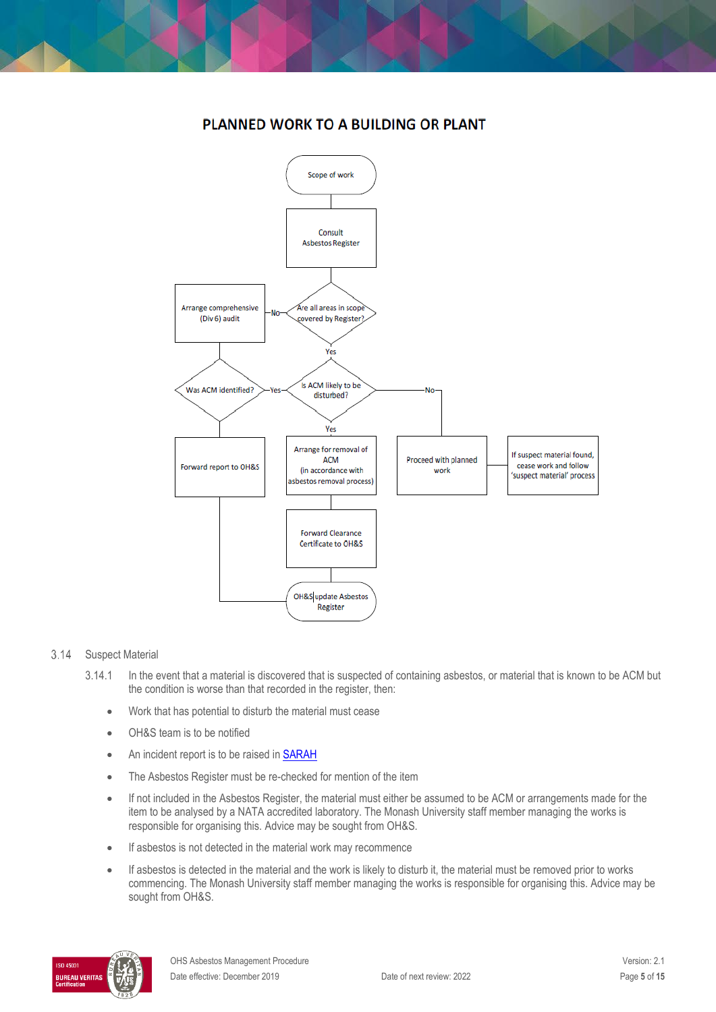### **PLANNED WORK TO A BUILDING OR PLANT**



### 3.14 Suspect Material

- 3.14.1 In the event that a material is discovered that is suspected of containing asbestos, or material that is known to be ACM but the condition is worse than that recorded in the register, then:
	- Work that has potential to disturb the material must cease
	- OH&S team is to be notified
	- An incident report is to be raised in **SARAH**
	- The Asbestos Register must be re-checked for mention of the item
	- If not included in the Asbestos Register, the material must either be assumed to be ACM or arrangements made for the item to be analysed by a NATA accredited laboratory. The Monash University staff member managing the works is responsible for organising this. Advice may be sought from OH&S.
	- If asbestos is not detected in the material work may recommence
	- If asbestos is detected in the material and the work is likely to disturb it, the material must be removed prior to works commencing. The Monash University staff member managing the works is responsible for organising this. Advice may be sought from OH&S.

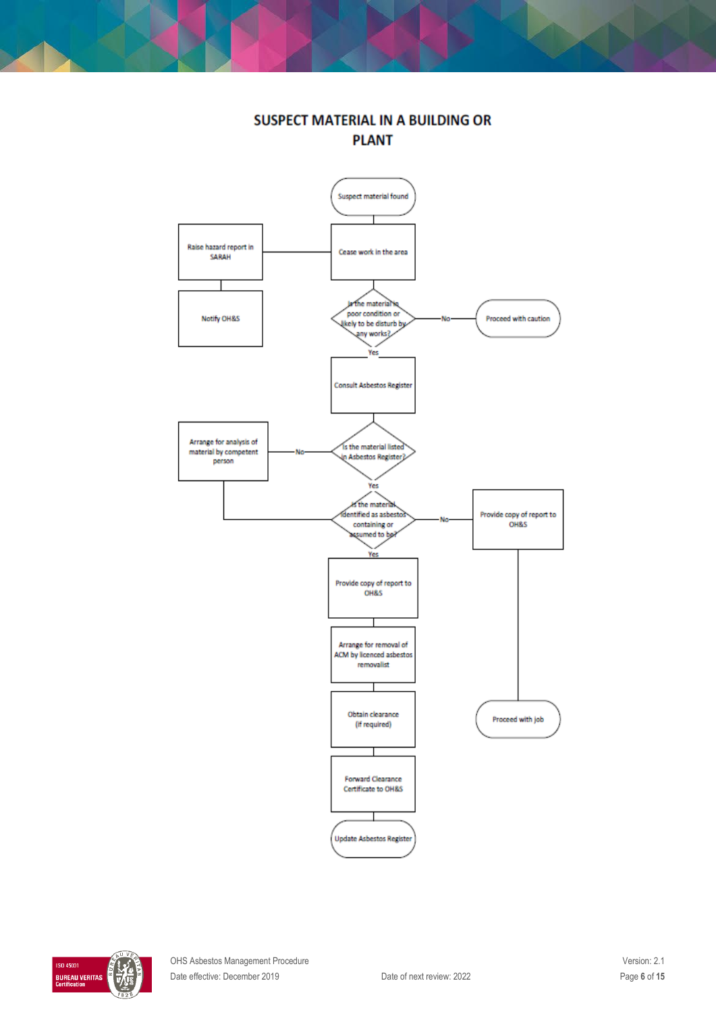

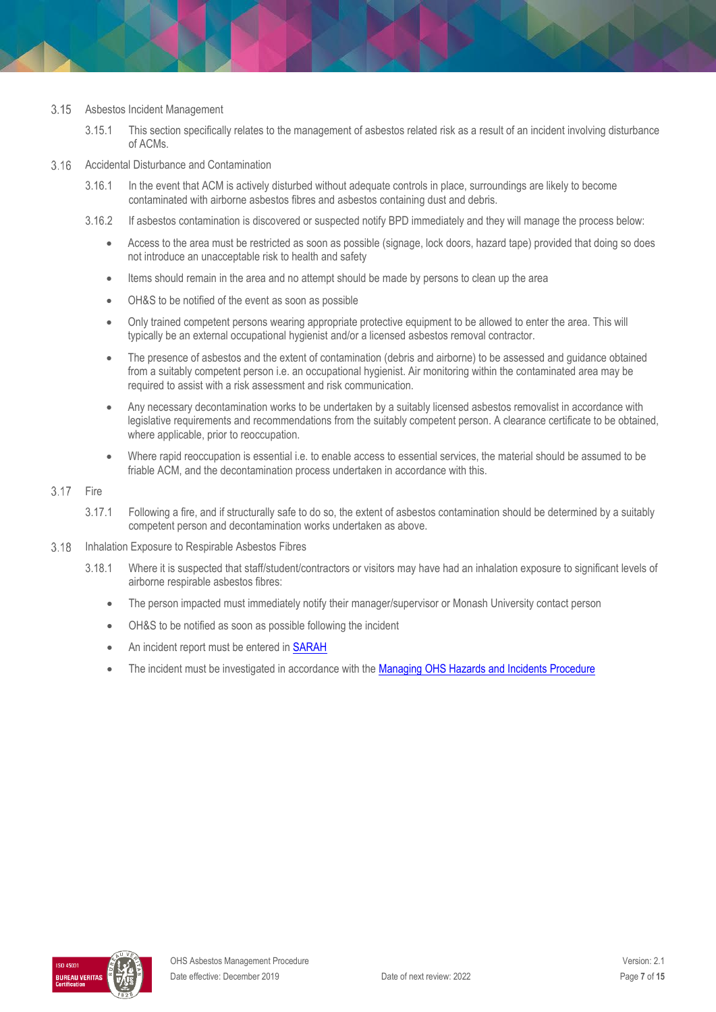#### 3.15 Asbestos Incident Management

3.15.1 This section specifically relates to the management of asbestos related risk as a result of an incident involving disturbance of ACMs.

#### $3.16$ Accidental Disturbance and Contamination

- 3.16.1 In the event that ACM is actively disturbed without adequate controls in place, surroundings are likely to become contaminated with airborne asbestos fibres and asbestos containing dust and debris.
- 3.16.2 If asbestos contamination is discovered or suspected notify BPD immediately and they will manage the process below:
	- Access to the area must be restricted as soon as possible (signage, lock doors, hazard tape) provided that doing so does not introduce an unacceptable risk to health and safety
	- Items should remain in the area and no attempt should be made by persons to clean up the area
	- OH&S to be notified of the event as soon as possible
	- Only trained competent persons wearing appropriate protective equipment to be allowed to enter the area. This will typically be an external occupational hygienist and/or a licensed asbestos removal contractor.
	- The presence of asbestos and the extent of contamination (debris and airborne) to be assessed and guidance obtained from a suitably competent person i.e. an occupational hygienist. Air monitoring within the contaminated area may be required to assist with a risk assessment and risk communication.
	- Any necessary decontamination works to be undertaken by a suitably licensed asbestos removalist in accordance with legislative requirements and recommendations from the suitably competent person. A clearance certificate to be obtained, where applicable, prior to reoccupation.
	- Where rapid reoccupation is essential i.e. to enable access to essential services, the material should be assumed to be friable ACM, and the decontamination process undertaken in accordance with this.

#### $3.17$ Fire

- 3.17.1 Following a fire, and if structurally safe to do so, the extent of asbestos contamination should be determined by a suitably competent person and decontamination works undertaken as above.
- 3.18 Inhalation Exposure to Respirable Asbestos Fibres
	- 3.18.1 Where it is suspected that staff/student/contractors or visitors may have had an inhalation exposure to significant levels of airborne respirable asbestos fibres:
		- The person impacted must immediately notify their manager/supervisor or Monash University contact person
		- OH&S to be notified as soon as possible following the incident
		- An incident report must be entered i[n SARAH](https://www.monash.edu/ohs/report-incident-hazard)
		- The incident must be investigated in accordance with the [Managing OHS Hazards and Incidents Procedure](https://publicpolicydms.monash.edu/Monash/documents/1935623)

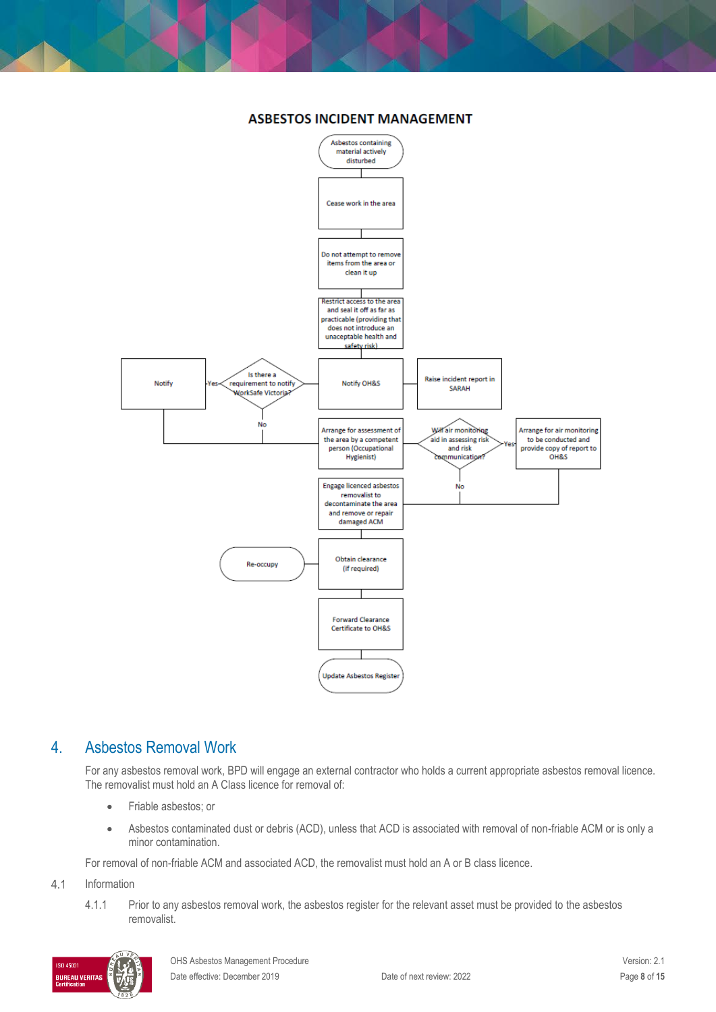

### **ASBESTOS INCIDENT MANAGEMENT**

### 4. Asbestos Removal Work

For any asbestos removal work, BPD will engage an external contractor who holds a current appropriate asbestos removal licence. The removalist must hold an A Class licence for removal of:

- Friable asbestos; or
- Asbestos contaminated dust or debris (ACD), unless that ACD is associated with removal of non-friable ACM or is only a minor contamination.

For removal of non-friable ACM and associated ACD, the removalist must hold an A or B class licence.

#### $4.1$ Information

4.1.1 Prior to any asbestos removal work, the asbestos register for the relevant asset must be provided to the asbestos removalist.

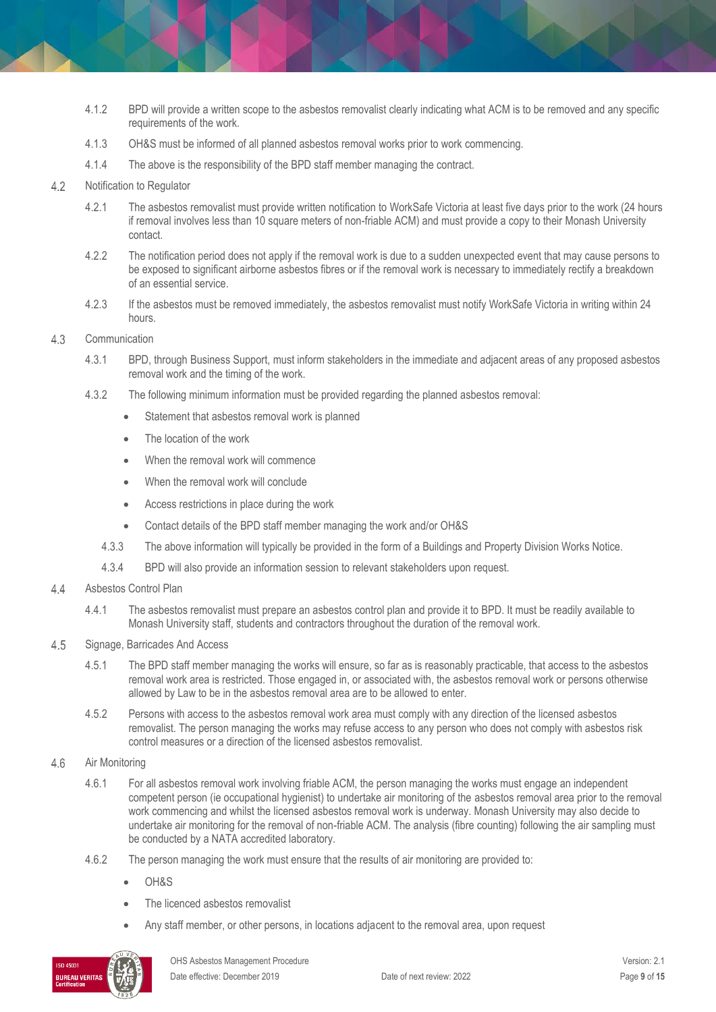- 4.1.2 BPD will provide a written scope to the asbestos removalist clearly indicating what ACM is to be removed and any specific requirements of the work.
- 4.1.3 OH&S must be informed of all planned asbestos removal works prior to work commencing.
- 4.1.4 The above is the responsibility of the BPD staff member managing the contract.
- $4.2$ Notification to Regulator
	- 4.2.1 The asbestos removalist must provide written notification to WorkSafe Victoria at least five days prior to the work (24 hours if removal involves less than 10 square meters of non-friable ACM) and must provide a copy to their Monash University contact.
	- 4.2.2 The notification period does not apply if the removal work is due to a sudden unexpected event that may cause persons to be exposed to significant airborne asbestos fibres or if the removal work is necessary to immediately rectify a breakdown of an essential service.
	- 4.2.3 If the asbestos must be removed immediately, the asbestos removalist must notify WorkSafe Victoria in writing within 24 hours.
- 4.3 Communication
	- 4.3.1 BPD, through Business Support, must inform stakeholders in the immediate and adjacent areas of any proposed asbestos removal work and the timing of the work.
	- 4.3.2 The following minimum information must be provided regarding the planned asbestos removal:
		- Statement that asbestos removal work is planned
		- The location of the work
		- When the removal work will commence
		- When the removal work will conclude
		- Access restrictions in place during the work
		- Contact details of the BPD staff member managing the work and/or OH&S
		- 4.3.3 The above information will typically be provided in the form of a Buildings and Property Division Works Notice.
		- 4.3.4 BPD will also provide an information session to relevant stakeholders upon request.
- $4.4$ Asbestos Control Plan
	- 4.4.1 The asbestos removalist must prepare an asbestos control plan and provide it to BPD. It must be readily available to Monash University staff, students and contractors throughout the duration of the removal work.
- 4.5 Signage, Barricades And Access
	- 4.5.1 The BPD staff member managing the works will ensure, so far as is reasonably practicable, that access to the asbestos removal work area is restricted. Those engaged in, or associated with, the asbestos removal work or persons otherwise allowed by Law to be in the asbestos removal area are to be allowed to enter.
	- 4.5.2 Persons with access to the asbestos removal work area must comply with any direction of the licensed asbestos removalist. The person managing the works may refuse access to any person who does not comply with asbestos risk control measures or a direction of the licensed asbestos removalist.
- 4.6 Air Monitoring
	- 4.6.1 For all asbestos removal work involving friable ACM, the person managing the works must engage an independent competent person (ie occupational hygienist) to undertake air monitoring of the asbestos removal area prior to the removal work commencing and whilst the licensed asbestos removal work is underway. Monash University may also decide to undertake air monitoring for the removal of non-friable ACM. The analysis (fibre counting) following the air sampling must be conducted by a NATA accredited laboratory.
	- 4.6.2 The person managing the work must ensure that the results of air monitoring are provided to:
		- $OHRS$
		- The licenced asbestos removalist
		- Any staff member, or other persons, in locations adjacent to the removal area, upon request

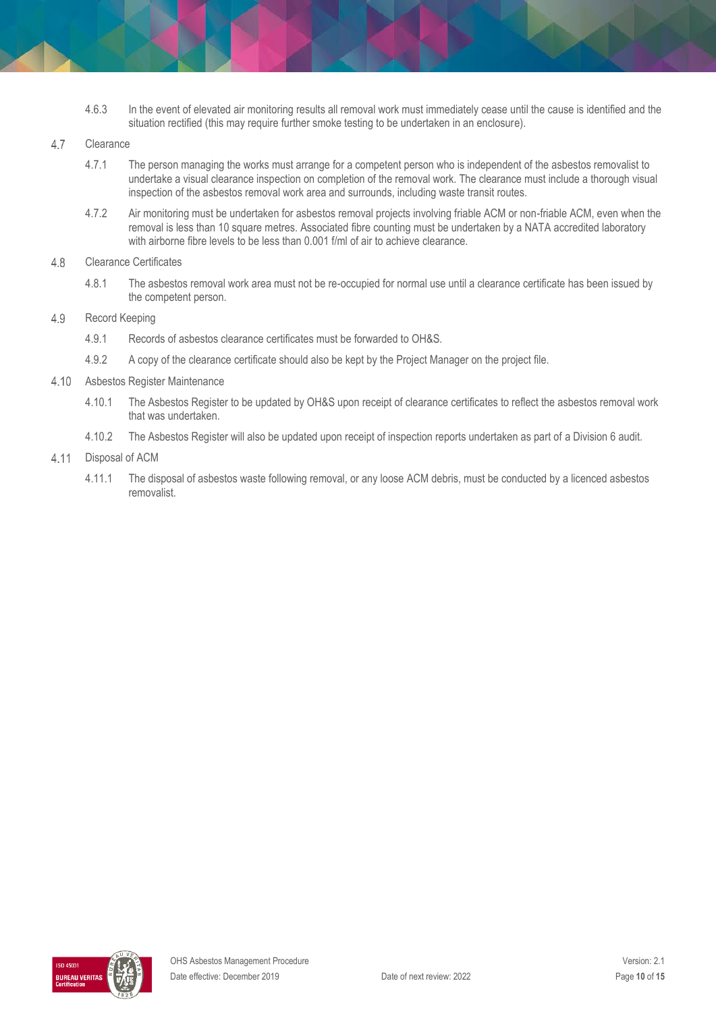4.6.3 In the event of elevated air monitoring results all removal work must immediately cease until the cause is identified and the situation rectified (this may require further smoke testing to be undertaken in an enclosure).

#### $4.7$ **Clearance**

- 4.7.1 The person managing the works must arrange for a competent person who is independent of the asbestos removalist to undertake a visual clearance inspection on completion of the removal work. The clearance must include a thorough visual inspection of the asbestos removal work area and surrounds, including waste transit routes.
- 4.7.2 Air monitoring must be undertaken for asbestos removal projects involving friable ACM or non-friable ACM, even when the removal is less than 10 square metres. Associated fibre counting must be undertaken by a NATA accredited laboratory with airborne fibre levels to be less than 0.001 f/ml of air to achieve clearance.

#### 4.8 Clearance Certificates

4.8.1 The asbestos removal work area must not be re-occupied for normal use until a clearance certificate has been issued by the competent person.

#### 4.9 Record Keeping

- 4.9.1 Records of asbestos clearance certificates must be forwarded to OH&S.
- 4.9.2 A copy of the clearance certificate should also be kept by the Project Manager on the project file.
- 4.10 Asbestos Register Maintenance
	- 4.10.1 The Asbestos Register to be updated by OH&S upon receipt of clearance certificates to reflect the asbestos removal work that was undertaken.
	- 4.10.2 The Asbestos Register will also be updated upon receipt of inspection reports undertaken as part of a Division 6 audit.

#### 4.11 Disposal of ACM

4.11.1 The disposal of asbestos waste following removal, or any loose ACM debris, must be conducted by a licenced asbestos removalist.

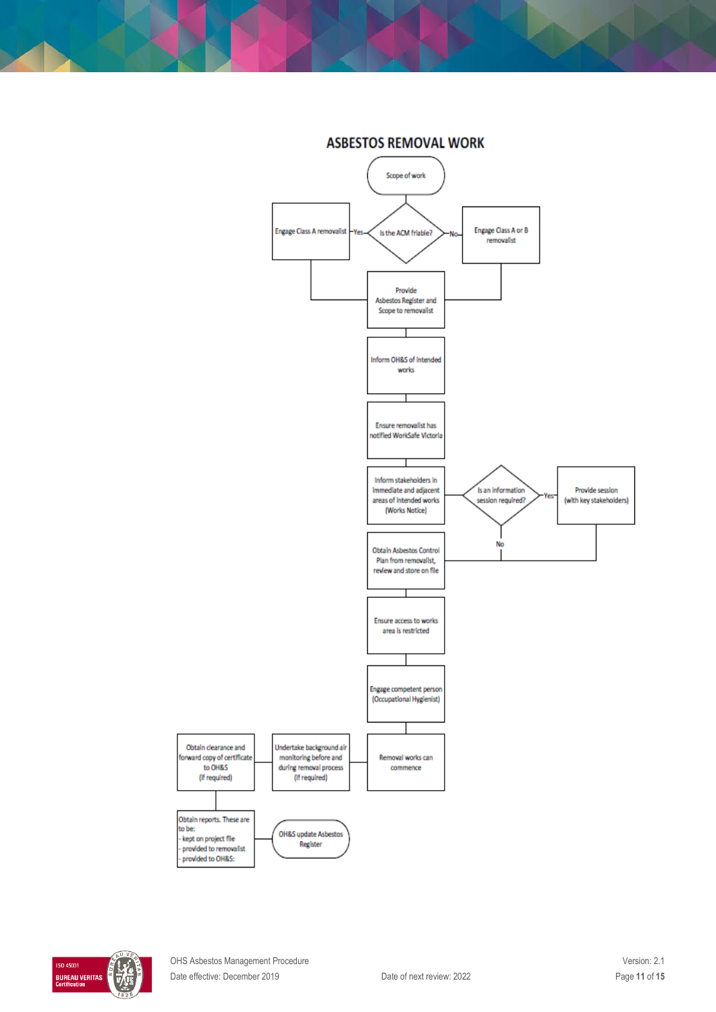

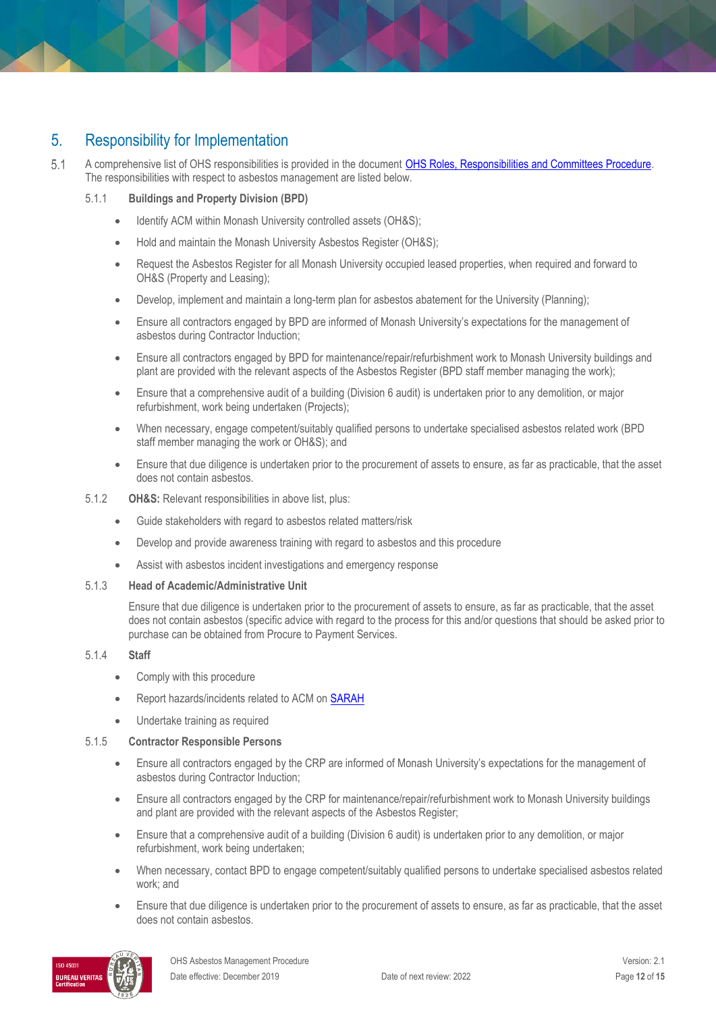# 5. Responsibility for Implementation

 $5.1$ A comprehensive list of OHS responsibilities is provided in the document **OHS Roles, Responsibilities and Committees Procedure**. The responsibilities with respect to asbestos management are listed below.

### 5.1.1 **Buildings and Property Division (BPD)**

- Identify ACM within Monash University controlled assets (OH&S);
- Hold and maintain the Monash University Asbestos Register (OH&S);
- Request the Asbestos Register for all Monash University occupied leased properties, when required and forward to OH&S (Property and Leasing);
- Develop, implement and maintain a long-term plan for asbestos abatement for the University (Planning);
- Ensure all contractors engaged by BPD are informed of Monash University's expectations for the management of asbestos during Contractor Induction;
- Ensure all contractors engaged by BPD for maintenance/repair/refurbishment work to Monash University buildings and plant are provided with the relevant aspects of the Asbestos Register (BPD staff member managing the work);
- Ensure that a comprehensive audit of a building (Division 6 audit) is undertaken prior to any demolition, or major refurbishment, work being undertaken (Projects);
- When necessary, engage competent/suitably qualified persons to undertake specialised asbestos related work (BPD staff member managing the work or OH&S); and
- Ensure that due diligence is undertaken prior to the procurement of assets to ensure, as far as practicable, that the asset does not contain asbestos.
- 5.1.2 **OH&S:** Relevant responsibilities in above list, plus:
	- Guide stakeholders with regard to asbestos related matters/risk
	- Develop and provide awareness training with regard to asbestos and this procedure
	- Assist with asbestos incident investigations and emergency response

### 5.1.3 **Head of Academic/Administrative Unit**

Ensure that due diligence is undertaken prior to the procurement of assets to ensure, as far as practicable, that the asset does not contain asbestos (specific advice with regard to the process for this and/or questions that should be asked prior to purchase can be obtained from Procure to Payment Services.

### 5.1.4 **Staff**

- Comply with this procedure
- Report hazards/incidents related to ACM on **SARAH**
- Undertake training as required

### 5.1.5 **Contractor Responsible Persons**

- Ensure all contractors engaged by the CRP are informed of Monash University's expectations for the management of asbestos during Contractor Induction;
- Ensure all contractors engaged by the CRP for maintenance/repair/refurbishment work to Monash University buildings and plant are provided with the relevant aspects of the Asbestos Register;
- Ensure that a comprehensive audit of a building (Division 6 audit) is undertaken prior to any demolition, or major refurbishment, work being undertaken;
- When necessary, contact BPD to engage competent/suitably qualified persons to undertake specialised asbestos related work; and
- Ensure that due diligence is undertaken prior to the procurement of assets to ensure, as far as practicable, that the asset does not contain asbestos.

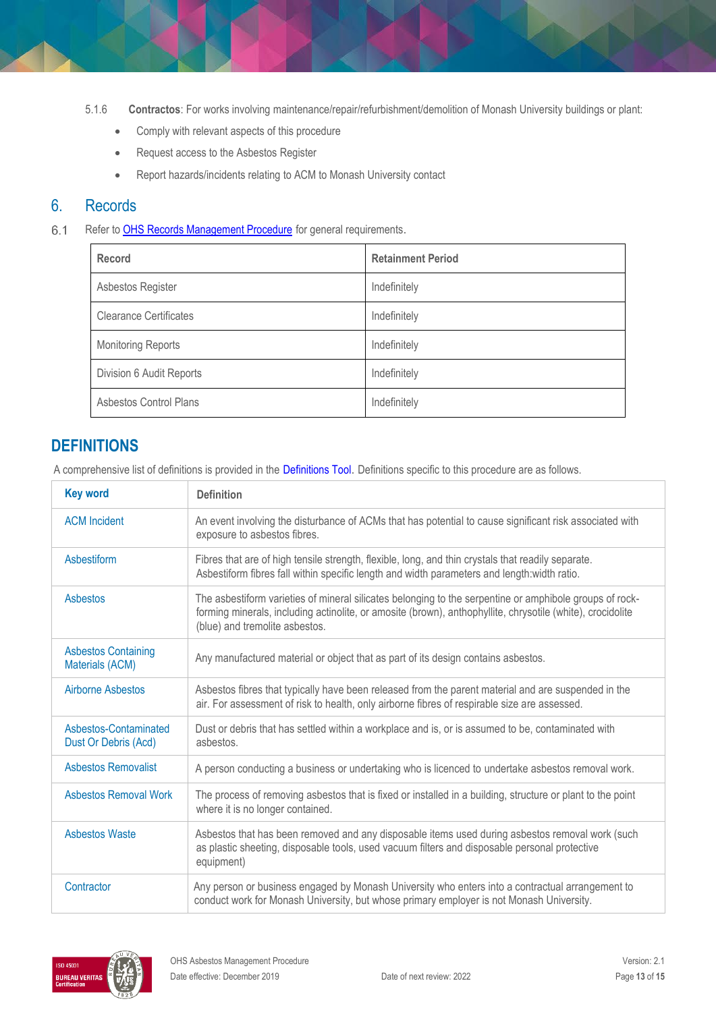- 5.1.6 **Contractos**: For works involving maintenance/repair/refurbishment/demolition of Monash University buildings or plant:
	- Comply with relevant aspects of this procedure
	- Request access to the Asbestos Register
	- Report hazards/incidents relating to ACM to Monash University contact

### 6. Records

 $6.1$ Refer to **OHS Records Management Procedure** for general requirements.

| Record                        | <b>Retainment Period</b> |
|-------------------------------|--------------------------|
| Asbestos Register             | Indefinitely             |
| <b>Clearance Certificates</b> | Indefinitely             |
| <b>Monitoring Reports</b>     | Indefinitely             |
| Division 6 Audit Reports      | Indefinitely             |
| Asbestos Control Plans        | Indefinitely             |

# **DEFINITIONS**

A comprehensive list of definitions is provided in the Definitions Tool. Definitions specific to this procedure are as follows.

| <b>Key word</b>                               | <b>Definition</b>                                                                                                                                                                                                                                       |
|-----------------------------------------------|---------------------------------------------------------------------------------------------------------------------------------------------------------------------------------------------------------------------------------------------------------|
| <b>ACM</b> Incident                           | An event involving the disturbance of ACMs that has potential to cause significant risk associated with<br>exposure to asbestos fibres.                                                                                                                 |
| Asbestiform                                   | Fibres that are of high tensile strength, flexible, long, and thin crystals that readily separate.<br>Asbestiform fibres fall within specific length and width parameters and length:width ratio.                                                       |
| <b>Asbestos</b>                               | The asbestiform varieties of mineral silicates belonging to the serpentine or amphibole groups of rock-<br>forming minerals, including actinolite, or amosite (brown), anthophyllite, chrysotile (white), crocidolite<br>(blue) and tremolite asbestos. |
| <b>Asbestos Containing</b><br>Materials (ACM) | Any manufactured material or object that as part of its design contains asbestos.                                                                                                                                                                       |
| <b>Airborne Asbestos</b>                      | Asbestos fibres that typically have been released from the parent material and are suspended in the<br>air. For assessment of risk to health, only airborne fibres of respirable size are assessed.                                                     |
| Asbestos-Contaminated<br>Dust Or Debris (Acd) | Dust or debris that has settled within a workplace and is, or is assumed to be, contaminated with<br>asbestos.                                                                                                                                          |
| Asbestos Removalist                           | A person conducting a business or undertaking who is licenced to undertake asbestos removal work.                                                                                                                                                       |
| <b>Asbestos Removal Work</b>                  | The process of removing asbestos that is fixed or installed in a building, structure or plant to the point<br>where it is no longer contained.                                                                                                          |
| <b>Asbestos Waste</b>                         | Asbestos that has been removed and any disposable items used during asbestos removal work (such<br>as plastic sheeting, disposable tools, used vacuum filters and disposable personal protective<br>equipment)                                          |
| Contractor                                    | Any person or business engaged by Monash University who enters into a contractual arrangement to<br>conduct work for Monash University, but whose primary employer is not Monash University.                                                            |

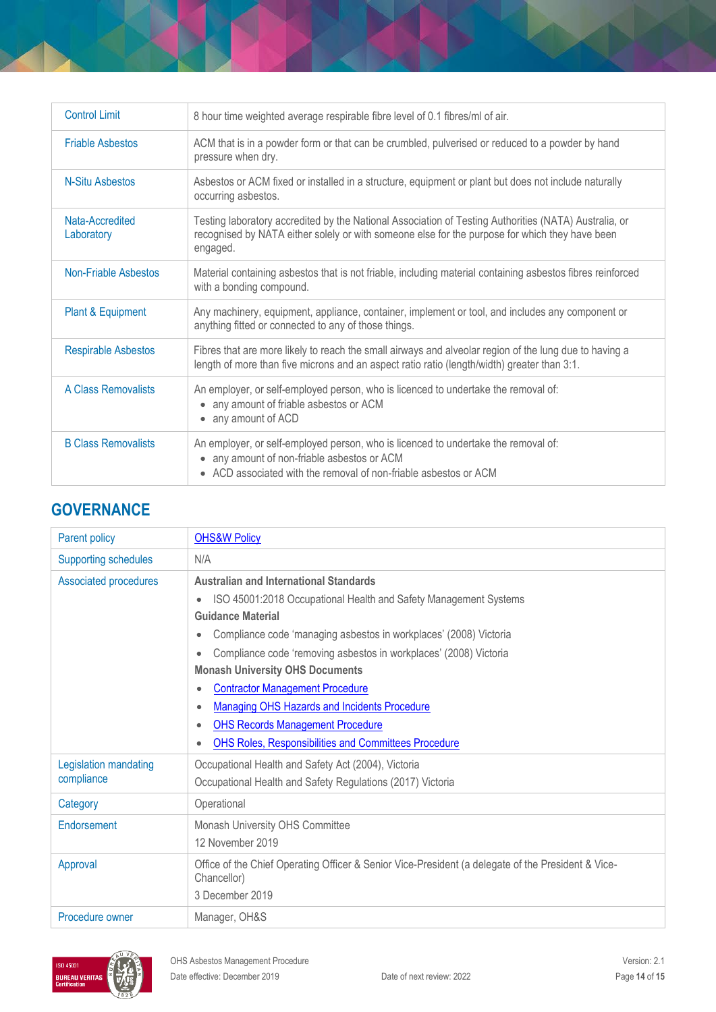| <b>Control Limit</b>          | 8 hour time weighted average respirable fibre level of 0.1 fibres/ml of air.                                                                                                                                        |
|-------------------------------|---------------------------------------------------------------------------------------------------------------------------------------------------------------------------------------------------------------------|
| <b>Friable Asbestos</b>       | ACM that is in a powder form or that can be crumbled, pulverised or reduced to a powder by hand<br>pressure when dry.                                                                                               |
| N-Situ Asbestos               | Asbestos or ACM fixed or installed in a structure, equipment or plant but does not include naturally<br>occurring asbestos.                                                                                         |
| Nata-Accredited<br>Laboratory | Testing laboratory accredited by the National Association of Testing Authorities (NATA) Australia, or<br>recognised by NATA either solely or with someone else for the purpose for which they have been<br>engaged. |
| Non-Friable Asbestos          | Material containing asbestos that is not friable, including material containing asbestos fibres reinforced<br>with a bonding compound.                                                                              |
| Plant & Equipment             | Any machinery, equipment, appliance, container, implement or tool, and includes any component or<br>anything fitted or connected to any of those things.                                                            |
| <b>Respirable Asbestos</b>    | Fibres that are more likely to reach the small airways and alveolar region of the lung due to having a<br>length of more than five microns and an aspect ratio ratio (length/width) greater than 3:1.               |
| <b>A Class Removalists</b>    | An employer, or self-employed person, who is licenced to undertake the removal of:<br>any amount of friable asbestos or ACM<br>• any amount of ACD                                                                  |
| <b>B Class Removalists</b>    | An employer, or self-employed person, who is licenced to undertake the removal of:<br>any amount of non-friable asbestos or ACM<br>ACD associated with the removal of non-friable asbestos or ACM                   |

## **GOVERNANCE**

| Parent policy                       | <b>OHS&amp;W Policy</b>                                                                                                                                                                                                                                                                                                                                                                                                                                                                                                                      |  |
|-------------------------------------|----------------------------------------------------------------------------------------------------------------------------------------------------------------------------------------------------------------------------------------------------------------------------------------------------------------------------------------------------------------------------------------------------------------------------------------------------------------------------------------------------------------------------------------------|--|
| <b>Supporting schedules</b>         | N/A                                                                                                                                                                                                                                                                                                                                                                                                                                                                                                                                          |  |
| Associated procedures               | <b>Australian and International Standards</b><br>ISO 45001:2018 Occupational Health and Safety Management Systems<br><b>Guidance Material</b><br>Compliance code 'managing asbestos in workplaces' (2008) Victoria<br>Compliance code 'removing asbestos in workplaces' (2008) Victoria<br><b>Monash University OHS Documents</b><br><b>Contractor Management Procedure</b><br><b>Managing OHS Hazards and Incidents Procedure</b><br><b>OHS Records Management Procedure</b><br><b>OHS Roles, Responsibilities and Committees Procedure</b> |  |
| Legislation mandating<br>compliance | Occupational Health and Safety Act (2004), Victoria<br>Occupational Health and Safety Regulations (2017) Victoria                                                                                                                                                                                                                                                                                                                                                                                                                            |  |
| Category                            | Operational                                                                                                                                                                                                                                                                                                                                                                                                                                                                                                                                  |  |
| Endorsement                         | Monash University OHS Committee<br>12 November 2019                                                                                                                                                                                                                                                                                                                                                                                                                                                                                          |  |
| Approval                            | Office of the Chief Operating Officer & Senior Vice-President (a delegate of the President & Vice-<br>Chancellor)<br>3 December 2019                                                                                                                                                                                                                                                                                                                                                                                                         |  |
| Procedure owner                     | Manager, OH&S                                                                                                                                                                                                                                                                                                                                                                                                                                                                                                                                |  |